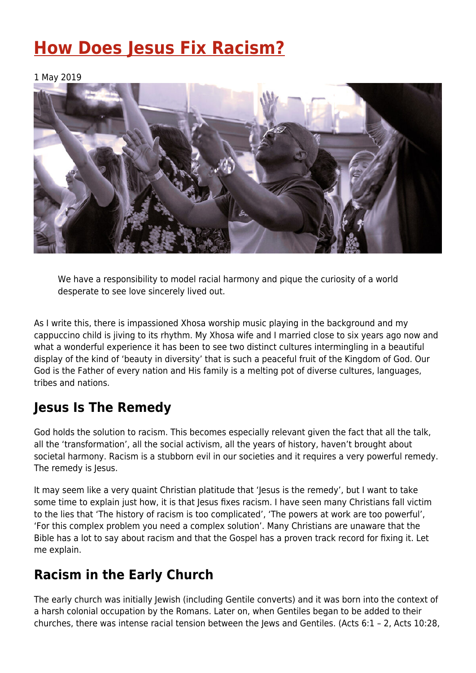# **[How Does Jesus Fix Racism?](https://four12global.com/articles/how-does-jesus-fix-racism/)**

1 May 2019



We have a responsibility to model racial harmony and pique the curiosity of a world desperate to see love sincerely lived out.

As I write this, there is impassioned Xhosa worship music playing in the background and my cappuccino child is jiving to its rhythm. My Xhosa wife and I married close to six years ago now and what a wonderful experience it has been to see two distinct cultures intermingling in a beautiful display of the kind of 'beauty in diversity' that is such a peaceful fruit of the Kingdom of God. Our God is the Father of every nation and His family is a melting pot of diverse cultures, languages, tribes and nations.

### **Jesus Is The Remedy**

God holds the solution to racism. This becomes especially relevant given the fact that all the talk, all the 'transformation', all the social activism, all the years of history, haven't brought about societal harmony. Racism is a stubborn evil in our societies and it requires a very powerful remedy. The remedy is Jesus.

It may seem like a very quaint Christian platitude that 'Jesus is the remedy', but I want to take some time to explain just how, it is that Jesus fixes racism. I have seen many Christians fall victim to the lies that 'The history of racism is too complicated', 'The powers at work are too powerful', 'For this complex problem you need a complex solution'. Many Christians are unaware that the Bible has a lot to say about racism and that the Gospel has a proven track record for fixing it. Let me explain.

## **Racism in the Early Church**

The early church was initially Jewish (including Gentile converts) and it was born into the context of a harsh colonial occupation by the Romans. Later on, when Gentiles began to be added to their churches, there was intense racial tension between the Jews and Gentiles. (Acts 6:1 – 2, Acts 10:28,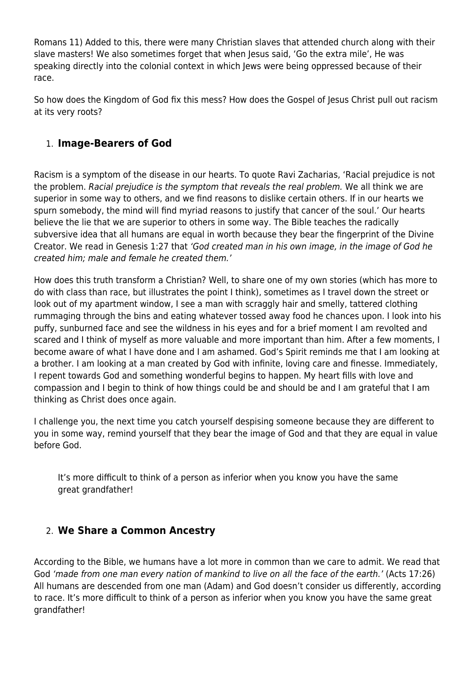Romans 11) Added to this, there were many Christian slaves that attended church along with their slave masters! We also sometimes forget that when Jesus said, 'Go the extra mile', He was speaking directly into the colonial context in which Jews were being oppressed because of their race.

So how does the Kingdom of God fix this mess? How does the Gospel of Jesus Christ pull out racism at its very roots?

#### 1. **Image-Bearers of God**

Racism is a symptom of the disease in our hearts. To quote Ravi Zacharias, 'Racial prejudice is not the problem. Racial prejudice is the symptom that reveals the real problem. We all think we are superior in some way to others, and we find reasons to dislike certain others. If in our hearts we spurn somebody, the mind will find myriad reasons to justify that cancer of the soul.' Our hearts believe the lie that we are superior to others in some way. The Bible teaches the radically subversive idea that all humans are equal in worth because they bear the fingerprint of the Divine Creator. We read in Genesis 1:27 that 'God created man in his own image, in the image of God he created him; male and female he created them.'

How does this truth transform a Christian? Well, to share one of my own stories (which has more to do with class than race, but illustrates the point I think), sometimes as I travel down the street or look out of my apartment window, I see a man with scraggly hair and smelly, tattered clothing rummaging through the bins and eating whatever tossed away food he chances upon. I look into his puffy, sunburned face and see the wildness in his eyes and for a brief moment I am revolted and scared and I think of myself as more valuable and more important than him. After a few moments, I become aware of what I have done and I am ashamed. God's Spirit reminds me that I am looking at a brother. I am looking at a man created by God with infinite, loving care and finesse. Immediately, I repent towards God and something wonderful begins to happen. My heart fills with love and compassion and I begin to think of how things could be and should be and I am grateful that I am thinking as Christ does once again.

I challenge you, the next time you catch yourself despising someone because they are different to you in some way, remind yourself that they bear the image of God and that they are equal in value before God.

It's more difficult to think of a person as inferior when you know you have the same great grandfather!

#### 2. **We Share a Common Ancestry**

According to the Bible, we humans have a lot more in common than we care to admit. We read that God 'made from one man every nation of mankind to live on all the face of the earth.' (Acts 17:26) All humans are descended from one man (Adam) and God doesn't consider us differently, according to race. It's more difficult to think of a person as inferior when you know you have the same great grandfather!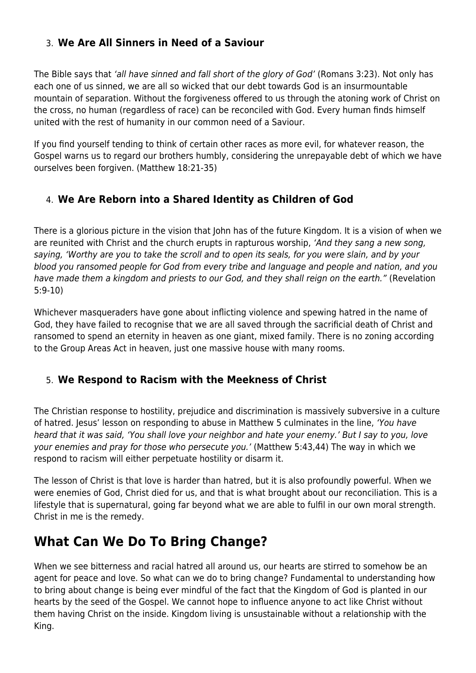#### 3. **We Are All Sinners in Need of a Saviour**

The Bible says that 'all have sinned and fall short of the glory of God' (Romans 3:23). Not only has each one of us sinned, we are all so wicked that our debt towards God is an insurmountable mountain of separation. Without the forgiveness offered to us through the atoning work of Christ on the cross, no human (regardless of race) can be reconciled with God. Every human finds himself united with the rest of humanity in our common need of a Saviour.

If you find yourself tending to think of certain other races as more evil, for whatever reason, the Gospel warns us to regard our brothers humbly, considering the unrepayable debt of which we have ourselves been forgiven. (Matthew 18:21-35)

#### 4. **We Are Reborn into a Shared Identity as Children of God**

There is a glorious picture in the vision that John has of the future Kingdom. It is a vision of when we are reunited with Christ and the church erupts in rapturous worship, 'And they sang a new song, saying, 'Worthy are you to take the scroll and to open its seals, for you were slain, and by your blood you ransomed people for God from every tribe and language and people and nation, and you have made them a kingdom and priests to our God, and they shall reign on the earth." (Revelation 5:9-10)

Whichever masqueraders have gone about inflicting violence and spewing hatred in the name of God, they have failed to recognise that we are all saved through the sacrificial death of Christ and ransomed to spend an eternity in heaven as one giant, mixed family. There is no zoning according to the Group Areas Act in heaven, just one massive house with many rooms.

#### 5. **We Respond to Racism with the Meekness of Christ**

The Christian response to hostility, prejudice and discrimination is massively subversive in a culture of hatred. Jesus' lesson on responding to abuse in Matthew 5 culminates in the line, 'You have heard that it was said, 'You shall love your neighbor and hate your enemy.' But I say to you, love your enemies and pray for those who persecute you.' (Matthew 5:43,44) The way in which we respond to racism will either perpetuate hostility or disarm it.

The lesson of Christ is that love is harder than hatred, but it is also profoundly powerful. When we were enemies of God, Christ died for us, and that is what brought about our reconciliation. This is a lifestyle that is supernatural, going far beyond what we are able to fulfil in our own moral strength. Christ in me is the remedy.

### **What Can We Do To Bring Change?**

When we see bitterness and racial hatred all around us, our hearts are stirred to somehow be an agent for peace and love. So what can we do to bring change? Fundamental to understanding how to bring about change is being ever mindful of the fact that the Kingdom of God is planted in our hearts by the seed of the Gospel. We cannot hope to influence anyone to act like Christ without them having Christ on the inside. Kingdom living is unsustainable without a relationship with the King.